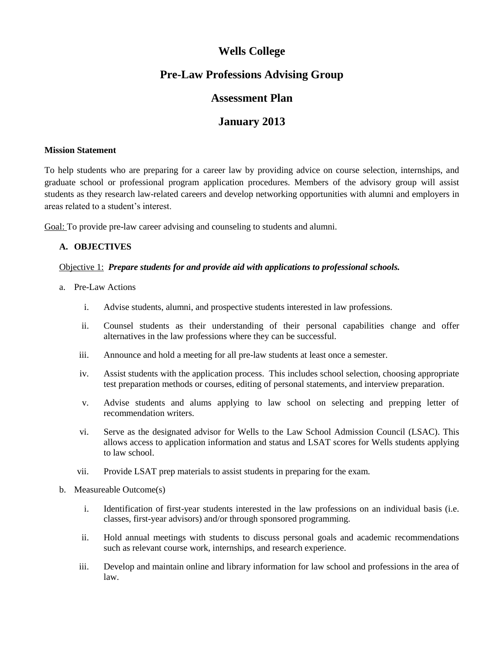# **Wells College**

## **Pre-Law Professions Advising Group**

## **Assessment Plan**

# **January 2013**

#### **Mission Statement**

To help students who are preparing for a career law by providing advice on course selection, internships, and graduate school or professional program application procedures. Members of the advisory group will assist students as they research law-related careers and develop networking opportunities with alumni and employers in areas related to a student's interest.

Goal: To provide pre-law career advising and counseling to students and alumni.

### **A. OBJECTIVES**

#### Objective 1: *Prepare students for and provide aid with applications to professional schools.*

- a. Pre-Law Actions
	- i. Advise students, alumni, and prospective students interested in law professions.
	- ii. Counsel students as their understanding of their personal capabilities change and offer alternatives in the law professions where they can be successful.
	- iii. Announce and hold a meeting for all pre-law students at least once a semester.
	- iv. Assist students with the application process. This includes school selection, choosing appropriate test preparation methods or courses, editing of personal statements, and interview preparation.
	- v. Advise students and alums applying to law school on selecting and prepping letter of recommendation writers.
	- vi. Serve as the designated advisor for Wells to the Law School Admission Council (LSAC). This allows access to application information and status and LSAT scores for Wells students applying to law school.
	- vii. Provide LSAT prep materials to assist students in preparing for the exam.
- b. Measureable Outcome(s)
	- i. Identification of first-year students interested in the law professions on an individual basis (i.e. classes, first-year advisors) and/or through sponsored programming.
	- ii. Hold annual meetings with students to discuss personal goals and academic recommendations such as relevant course work, internships, and research experience.
	- iii. Develop and maintain online and library information for law school and professions in the area of law.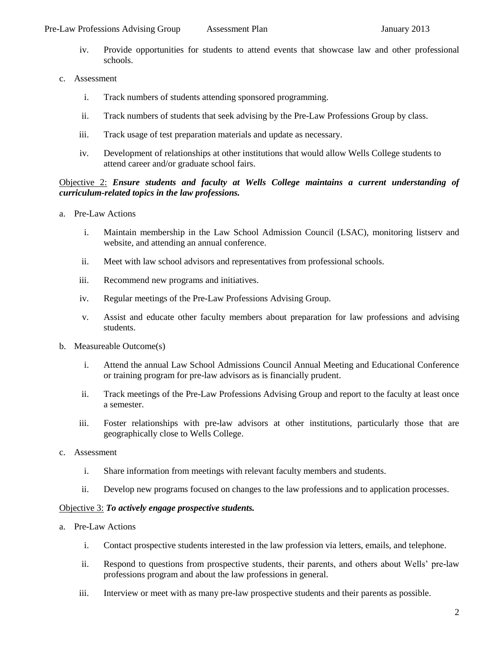- iv. Provide opportunities for students to attend events that showcase law and other professional schools.
- c. Assessment
	- i. Track numbers of students attending sponsored programming.
	- ii. Track numbers of students that seek advising by the Pre-Law Professions Group by class.
	- iii. Track usage of test preparation materials and update as necessary.
	- iv. Development of relationships at other institutions that would allow Wells College students to attend career and/or graduate school fairs.

### Objective 2: *Ensure students and faculty at Wells College maintains a current understanding of curriculum-related topics in the law professions.*

- a. Pre-Law Actions
	- i. Maintain membership in the Law School Admission Council (LSAC), monitoring listserv and website, and attending an annual conference.
	- ii. Meet with law school advisors and representatives from professional schools.
	- iii. Recommend new programs and initiatives.
	- iv. Regular meetings of the Pre-Law Professions Advising Group.
	- v. Assist and educate other faculty members about preparation for law professions and advising students.
- b. Measureable Outcome(s)
	- i. Attend the annual Law School Admissions Council Annual Meeting and Educational Conference or training program for pre-law advisors as is financially prudent.
	- ii. Track meetings of the Pre-Law Professions Advising Group and report to the faculty at least once a semester.
	- iii. Foster relationships with pre-law advisors at other institutions, particularly those that are geographically close to Wells College.
- c. Assessment
	- i. Share information from meetings with relevant faculty members and students.
	- ii. Develop new programs focused on changes to the law professions and to application processes.

#### Objective 3: *To actively engage prospective students.*

- a. Pre-Law Actions
	- i. Contact prospective students interested in the law profession via letters, emails, and telephone.
	- ii. Respond to questions from prospective students, their parents, and others about Wells' pre-law professions program and about the law professions in general.
	- iii. Interview or meet with as many pre-law prospective students and their parents as possible.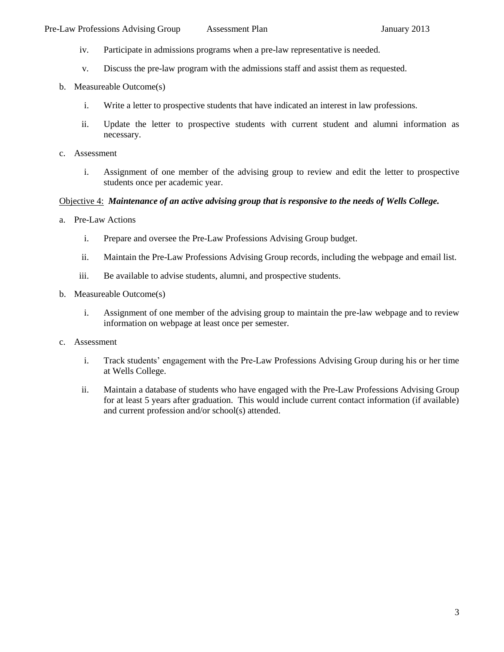- iv. Participate in admissions programs when a pre-law representative is needed.
- v. Discuss the pre-law program with the admissions staff and assist them as requested.
- b. Measureable Outcome(s)
	- i. Write a letter to prospective students that have indicated an interest in law professions.
	- ii. Update the letter to prospective students with current student and alumni information as necessary.
- c. Assessment
	- i. Assignment of one member of the advising group to review and edit the letter to prospective students once per academic year.

#### Objective 4: *Maintenance of an active advising group that is responsive to the needs of Wells College.*

- a. Pre-Law Actions
	- i. Prepare and oversee the Pre-Law Professions Advising Group budget.
	- ii. Maintain the Pre-Law Professions Advising Group records, including the webpage and email list.
	- iii. Be available to advise students, alumni, and prospective students.
- b. Measureable Outcome(s)
	- i. Assignment of one member of the advising group to maintain the pre-law webpage and to review information on webpage at least once per semester.
- c. Assessment
	- i. Track students' engagement with the Pre-Law Professions Advising Group during his or her time at Wells College.
	- ii. Maintain a database of students who have engaged with the Pre-Law Professions Advising Group for at least 5 years after graduation. This would include current contact information (if available) and current profession and/or school(s) attended.